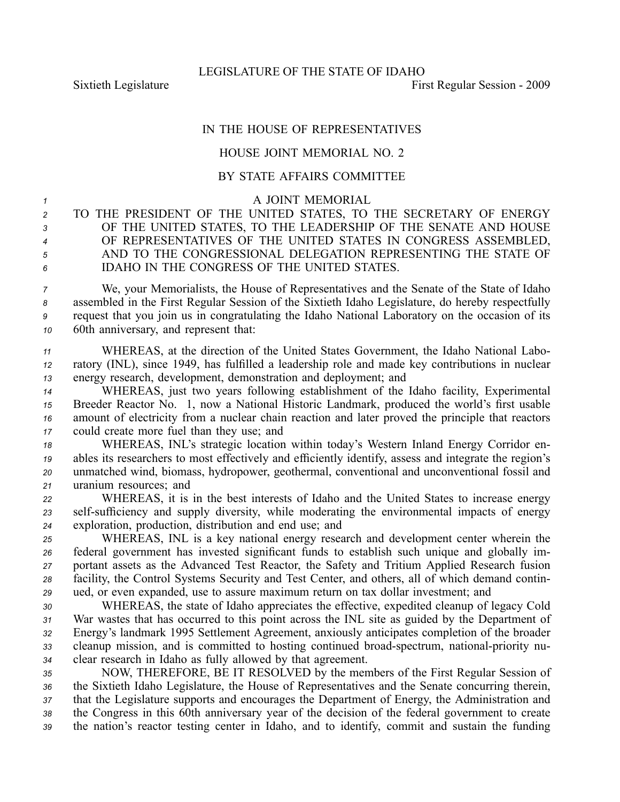Sixtieth Legislature **First** Regular Session - 2009

## IN THE HOUSE OF REPRESENTATIVES

## HOUSE JOINT MEMORIAL NO. 2

## BY STATE AFFAIRS COMMITTEE

<sup>1</sup> A JOINT MEMORIAL

 TO THE PRESIDENT OF THE UNITED STATES, TO THE SECRETARY OF ENERGY OF THE UNITED STATES, TO THE LEADERSHIP OF THE SENATE AND HOUSE OF REPRESENTATIVES OF THE UNITED STATES IN CONGRESS ASSEMBLED, AND TO THE CONGRESSIONAL DELEGATION REPRESENTING THE STATE OF IDAHO IN THE CONGRESS OF THE UNITED STATES.

 We, your Memorialists, the House of Representatives and the Senate of the State of Idaho assembled in the First Regular Session of the Sixtieth Idaho Legislature, do hereby respectfully reques<sup>t</sup> that you join us in congratulating the Idaho National Laboratory on the occasion of its 60th anniversary, and represen<sup>t</sup> that:

*<sup>11</sup>* WHEREAS, at the direction of the United States Government, the Idaho National Labo-*<sup>12</sup>* ratory (INL), since 1949, has fulfilled <sup>a</sup> leadership role and made key contributions in nuclear *<sup>13</sup>* energy research, development, demonstration and deployment; and

 WHEREAS, just two years following establishment of the Idaho facility, Experimental Breeder Reactor No. 1, now <sup>a</sup> National Historic Landmark, produced the world's first usable amount of electricity from <sup>a</sup> nuclear chain reaction and later proved the principle that reactors could create more fuel than they use; and

 WHEREAS, INL's strategic location within today's Western Inland Energy Corridor en- ables its researchers to most effectively and efficiently identify, assess and integrate the region's unmatched wind, biomass, hydropower, geothermal, conventional and unconventional fossil and uranium resources; and

*<sup>22</sup>* WHEREAS, it is in the best interests of Idaho and the United States to increase energy 23 self-sufficiency and supply diversity, while moderating the environmental impacts of energy *<sup>24</sup>* exploration, production, distribution and end use; and

 WHEREAS, INL is <sup>a</sup> key national energy research and development center wherein the federal governmen<sup>t</sup> has invested significant funds to establish such unique and globally im- portant assets as the Advanced Test Reactor, the Safety and Tritium Applied Research fusion facility, the Control Systems Security and Test Center, and others, all of which demand contin-ued, or even expanded, use to assure maximum return on tax dollar investment; and

 WHEREAS, the state of Idaho appreciates the effective, expedited cleanup of legacy Cold War wastes that has occurred to this point across the INL site as guided by the Department of Energy's landmark 1995 Settlement Agreement, anxiously anticipates completion of the broader 33 cleanup mission, and is committed to hosting continued broad-spectrum, national-priority nu-clear research in Idaho as fully allowed by that agreement.

 NOW, THEREFORE, BE IT RESOLVED by the members of the First Regular Session of the Sixtieth Idaho Legislature, the House of Representatives and the Senate concurring therein, that the Legislature supports and encourages the Department of Energy, the Administration and the Congress in this 60th anniversary year of the decision of the federal governmen<sup>t</sup> to create the nation's reactor testing center in Idaho, and to identify, commit and sustain the funding